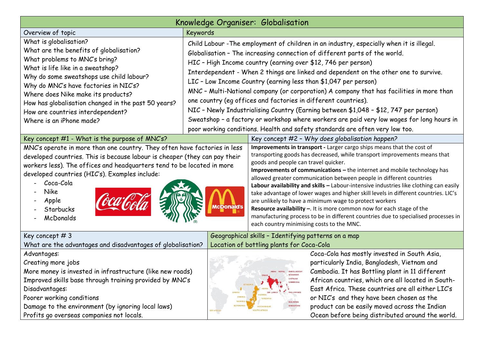| Knowledge Organiser: Globalisation                                                                                                                                                                                                                                                                                                                                                         |                                                                                                  |                                                                                                                                                                                                                                                                                                                                                                                                                                                                                                                                                                                                                                                                                                                                                                                                   |                                                                                                                                                                                                                                                                                                                                                                                                                                                                                                                                                                                                                                                                                                                                                       |                                                                                                                                                                                                                                                                                                                                                                                                             |  |  |
|--------------------------------------------------------------------------------------------------------------------------------------------------------------------------------------------------------------------------------------------------------------------------------------------------------------------------------------------------------------------------------------------|--------------------------------------------------------------------------------------------------|---------------------------------------------------------------------------------------------------------------------------------------------------------------------------------------------------------------------------------------------------------------------------------------------------------------------------------------------------------------------------------------------------------------------------------------------------------------------------------------------------------------------------------------------------------------------------------------------------------------------------------------------------------------------------------------------------------------------------------------------------------------------------------------------------|-------------------------------------------------------------------------------------------------------------------------------------------------------------------------------------------------------------------------------------------------------------------------------------------------------------------------------------------------------------------------------------------------------------------------------------------------------------------------------------------------------------------------------------------------------------------------------------------------------------------------------------------------------------------------------------------------------------------------------------------------------|-------------------------------------------------------------------------------------------------------------------------------------------------------------------------------------------------------------------------------------------------------------------------------------------------------------------------------------------------------------------------------------------------------------|--|--|
| Overview of topic                                                                                                                                                                                                                                                                                                                                                                          | Keywords                                                                                         |                                                                                                                                                                                                                                                                                                                                                                                                                                                                                                                                                                                                                                                                                                                                                                                                   |                                                                                                                                                                                                                                                                                                                                                                                                                                                                                                                                                                                                                                                                                                                                                       |                                                                                                                                                                                                                                                                                                                                                                                                             |  |  |
| What is globalisation?<br>What are the benefits of globalisation?<br>What problems to MNC's bring?<br>What is life like in a sweatshop?<br>Why do some sweatshops use child labour?<br>Why do MNC's have factories in NIC's?<br>Where does Nike make its products?<br>How has globalisation changed in the past 50 years?<br>How are countries interdependent?<br>Where is an iPhone made? |                                                                                                  |                                                                                                                                                                                                                                                                                                                                                                                                                                                                                                                                                                                                                                                                                                                                                                                                   | Child Labour - The employment of children in an industry, especially when it is illegal.<br>Globalisation - The increasing connection of different parts of the world.<br>HIC - High Income country (earning over \$12, 746 per person)<br>Interdependent - When 2 things are linked and dependent on the other one to survive.<br>LIC - Low Income Country (earning less than \$1,047 per person)<br>MNC - Multi-National company (or corporation) A company that has facilities in more than<br>one country (eg offices and factories in different countries).<br>NIC - Newly Industrialising Country (Earning between \$1,048 - \$12, 747 per person)<br>Sweatshop - a factory or workshop where workers are paid very low wages for long hours in |                                                                                                                                                                                                                                                                                                                                                                                                             |  |  |
| Key concept #1 - What is the purpose of MNC's?                                                                                                                                                                                                                                                                                                                                             |                                                                                                  |                                                                                                                                                                                                                                                                                                                                                                                                                                                                                                                                                                                                                                                                                                                                                                                                   | poor working conditions. Health and safety standards are often very low too.<br>Key concept #2 - Why does globalisation happen?                                                                                                                                                                                                                                                                                                                                                                                                                                                                                                                                                                                                                       |                                                                                                                                                                                                                                                                                                                                                                                                             |  |  |
| MNC's operate in more than one country. They often have factories in less<br>developed countries. This is because labour is cheaper (they can pay their<br>workers less). The offices and headquarters tend to be located in more<br>developed countries (HIC's). Examples include:<br>Coca-Cola<br>Nike<br>Apple<br><b>AcDonald's</b><br>Starbucks<br>McDonalds                           |                                                                                                  | Improvements in transport - Larger cargo ships means that the cost of<br>transporting goods has decreased, while transport improvements means that<br>goods and people can travel quicker.<br>Improvements of communications - the internet and mobile technology has<br>allowed greater communication between people in different countries<br>Labour availability and skills - Labour-intensive industries like clothing can easily<br>take advantage of lower wages and higher skill levels in different countries. LIC's<br>are unlikely to have a minimum wage to protect workers<br>Resource availability -. It is more common now for each stage of the<br>manufacturing process to be in different countries due to specialised processes in<br>each country minimising costs to the MNC. |                                                                                                                                                                                                                                                                                                                                                                                                                                                                                                                                                                                                                                                                                                                                                       |                                                                                                                                                                                                                                                                                                                                                                                                             |  |  |
| Key concept #3<br>What are the advantages and disadvantages of globalisation?                                                                                                                                                                                                                                                                                                              | Geographical skills - Identifying patterns on a map<br>Location of bottling plants for Coca-Cola |                                                                                                                                                                                                                                                                                                                                                                                                                                                                                                                                                                                                                                                                                                                                                                                                   |                                                                                                                                                                                                                                                                                                                                                                                                                                                                                                                                                                                                                                                                                                                                                       |                                                                                                                                                                                                                                                                                                                                                                                                             |  |  |
| Advantages:<br>Creating more jobs<br>More money is invested in infrastructure (like new roads)<br>Improved skills base through training provided by MNC's<br>Disadvantages:<br>Poorer working conditions<br>Damage to the environment (by ignoring local laws)<br>Profits go overseas companies not locals.                                                                                | GHANA<br>ZAMBI.<br><b>GES AFRICA</b>                                                             |                                                                                                                                                                                                                                                                                                                                                                                                                                                                                                                                                                                                                                                                                                                                                                                                   | INDIA NEPAL BANGLADESH<br><b>MYANMA</b><br><b>VIETNAM</b><br>CAMBODIA<br>ETHIOI<br>PHILIPPINES<br>SRI LANK<br><b>TANZANIA</b><br><b>MALAYSIA</b><br><b>SINGAPORE</b>                                                                                                                                                                                                                                                                                                                                                                                                                                                                                                                                                                                  | Coca-Cola has mostly invested in South Asia,<br>particularly India, Bangladesh, Vietnam and<br>Cambodia. It has Bottling plant in 11 different<br>African countries, which are all located in South-<br>East Africa. These countries are all either LIC's<br>or NIC's and they have been chosen as the<br>product can be easily moved across the Indian<br>Ocean before being distributed around the world. |  |  |